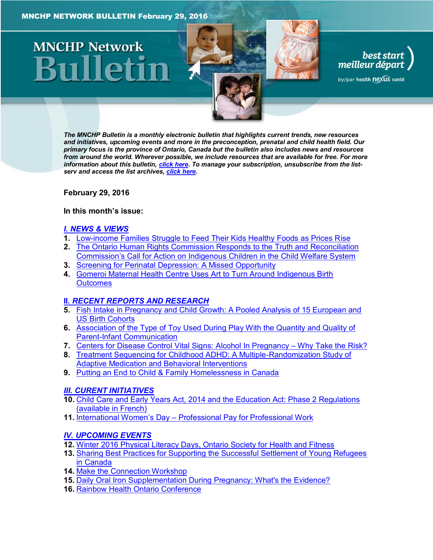# **MNCHP Network**

*The MNCHP Bulletin is a monthly electronic bulletin that highlights current trends, new resources and initiatives, upcoming events and more in the preconception, prenatal and child health field. Our primary focus is the province of Ontario, Canada but the bulletin also includes news and resources from around the world. Wherever possible, we include resources that are available for free. For more information about this bulletin, [click here.](#page-13-0) To manage your subscription, unsubscribe from the listserv and access the list archives, [click here.](http://en.beststart.org/services/information-exchange)* 

best start<br>| best start<br>| meilleur départ

by/par health nexus santé

<span id="page-0-0"></span>**February 29, 2016**

## **In this month's issue:**

## *[I. NEWS & VIEWS](#page-1-0)*

- **1.** [Low-income Families Struggle to Feed Their Kids Healthy Foods as Prices Rise](#page-1-1)
- **2.** [The Ontario Human Rights Commission Responds to the Truth and Reconciliation](#page-2-0)
- Commission's Call for Action on Indigen[ous Children in the Child Welfare System](#page-2-0)
- **3.** [Screening for Perinatal Depression: A Missed Opportunity](#page-2-1)
- **4.** [Gomeroi Maternal Health Centre Uses Art to Turn Around Indigenous Birth](#page-2-2)  **[Outcomes](#page-2-2)**

# **II.** *[RECENT REPORTS AND RESEARCH](#page-3-0)*

- **5.** [Fish Intake in Pregnancy and Child Growth: A Pooled Analysis of 15 European and](#page-3-1)  [US Birth Cohorts](#page-3-1)
- **6.** [Association of the Type of Toy Used During Play With the Quantity and Quality of](#page-4-0)  [Parent-Infant Communication](#page-4-0)
- **7.** [Centers for Disease Control Vital Signs: Alcohol](#page-5-0) In Pregnancy Why Take the Risk?
- **8.** [Treatment Sequencing for Childhood ADHD: A Multiple-Randomization Study of](#page-6-0)  [Adaptive Medication and Behavioral Interventions](#page-6-0)
- **9.** [Putting an End to Child & Family Homelessness in Canada](#page-7-0)

# *[III. CURENT INITIATIVES](#page-7-1)*

- **10.** [Child Care and Early Years Act, 2014 and the Education Act: Phase 2 Regulations](#page-7-2)  [\(available in French\)](#page-7-2)
- **11.** International Women's Day [Professional Pay for Professional Work](#page-8-0)

# *[IV. UPCOMING EVENTS](#page-8-1)*

- **12.** [Winter 2016 Physical Literacy Days, Ontario Society for Health and Fitness](#page-8-2)
- **13.** [Sharing Best Practices for Supporting the Successful Settlement of Young Refugees](#page-8-3)  [in Canada](#page-8-3)
- **14.** [Make the Connection Workshop](#page-9-0)
- **15.** [Daily Oral Iron Supplementation During Pregnancy: What's the Evidence?](#page-9-1)
- **16.** [Rainbow Health Ontario Conference](#page-9-2)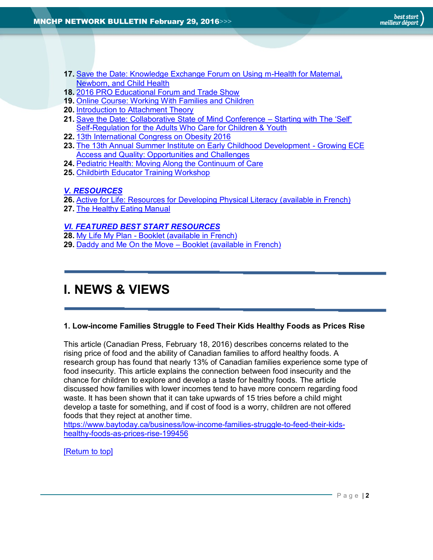- **17.** [Save the Date: Knowledge Exchange Forum on Using m-Health for Maternal,](#page-10-0)  [Newborn, and Child Health](#page-10-0)
- **18.** [2016 PRO Educational Forum and Trade Show](#page-10-1)
- **19.** [Online Course: Working With Families and Children](#page-10-2)
- **20.** [Introduction to Attachment Theory](#page-10-3)
- **21.** [Save the Date: Collaborative State of Mind Conference](#page-11-0)  Starting with The 'Self' [Self-Regulation for the Adults Who Care for Children & Youth](#page-11-0)
- **22.** [13th International Congress on Obesity 2016](#page-11-1)
- **23.** [The 13th Annual Summer Institute on Early Childhood Development -](#page-11-2) Growing ECE [Access and Quality: Opportunities and Challenges](#page-11-2)
- **24.** [Pediatric Health: Moving Along the Continuum of Care](#page-12-0)
- **25.** [Childbirth Educator Training Workshop](#page-12-1)

# *[V. RESOURCES](#page-12-2)*

- **26.** [Active for Life: Resources for Developing Physical Literacy \(available in French\)](#page-12-3)
- **27.** [The Healthy Eating Manual](#page-12-4)

# *[VI. FEATURED BEST START RESOURCES](#page-13-1)*

- **28.** My Life My Plan [Booklet \(available in French\)](#page-13-2)
- **29.** [Daddy and Me On the Move](#page-13-3)  Booklet (available in French)

# <span id="page-1-0"></span>**I. NEWS & VIEWS**

## <span id="page-1-1"></span>**1. Low-income Families Struggle to Feed Their Kids Healthy Foods as Prices Rise**

This article (Canadian Press, February 18, 2016) describes concerns related to the rising price of food and the ability of Canadian families to afford healthy foods. A research group has found that nearly 13% of Canadian families experience some type of food insecurity. This article explains the connection between food insecurity and the chance for children to explore and develop a taste for healthy foods. The article discussed how families with lower incomes tend to have more concern regarding food waste. It has been shown that it can take upwards of 15 tries before a child might develop a taste for something, and if cost of food is a worry, children are not offered foods that they reject at another time.

[https://www.baytoday.ca/business/low-income-families-struggle-to-feed-their-kids](https://www.baytoday.ca/business/low-income-families-struggle-to-feed-their-kids-healthy-foods-as-prices-rise-199456)[healthy-foods-as-prices-rise-199456](https://www.baytoday.ca/business/low-income-families-struggle-to-feed-their-kids-healthy-foods-as-prices-rise-199456)

[\[Return to top\]](#page-0-0)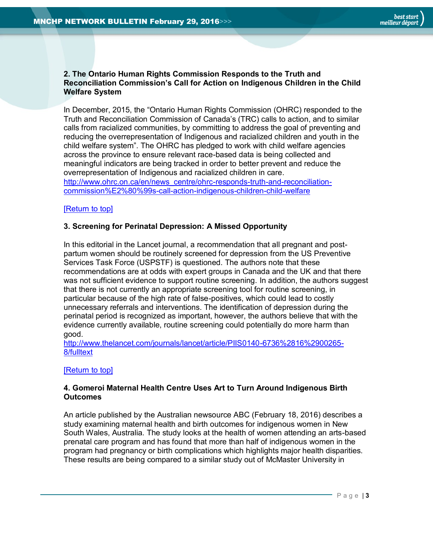<span id="page-2-0"></span>**2. The Ontario Human Rights Commission Responds to the Truth and Reconciliation Commission's Call for Action on Indigenous Children in the Child Welfare System**

In December, 2015, the "Ontario Human Rights Commission (OHRC) responded to the Truth and Reconciliation Commission of Canada's (TRC) calls to action, and to similar calls from racialized communities, by committing to address the goal of preventing and reducing the overrepresentation of Indigenous and racialized children and youth in the child welfare system". The OHRC has pledged to work with child welfare agencies across the province to ensure relevant race-based data is being collected and meaningful indicators are being tracked in order to better prevent and reduce the overrepresentation of Indigenous and racialized children in care. [http://www.ohrc.on.ca/en/news\\_centre/ohrc-responds-truth-and-reconciliation](http://www.ohrc.on.ca/en/news_centre/ohrc-responds-truth-and-reconciliation-commission%E2%80%99s-call-action-indigenous-children-child-welfare)[commission%E2%80%99s-call-action-indigenous-children-child-welfare](http://www.ohrc.on.ca/en/news_centre/ohrc-responds-truth-and-reconciliation-commission%E2%80%99s-call-action-indigenous-children-child-welfare)

# [\[Return to top\]](#page-0-0)

## <span id="page-2-1"></span>**3. Screening for Perinatal Depression: A Missed Opportunity**

In this editorial in the Lancet journal, a recommendation that all pregnant and postpartum women should be routinely screened for depression from the US Preventive Services Task Force (USPSTF) is questioned. The authors note that these recommendations are at odds with expert groups in Canada and the UK and that there was not sufficient evidence to support routine screening. In addition, the authors suggest that there is not currently an appropriate screening tool for routine screening, in particular because of the high rate of false-positives, which could lead to costly unnecessary referrals and interventions. The identification of depression during the perinatal period is recognized as important, however, the authors believe that with the evidence currently available, routine screening could potentially do more harm than good.

[http://www.thelancet.com/journals/lancet/article/PIIS0140-6736%2816%2900265-](http://www.thelancet.com/journals/lancet/article/PIIS0140-6736%2816%2900265-8/fulltext) [8/fulltext](http://www.thelancet.com/journals/lancet/article/PIIS0140-6736%2816%2900265-8/fulltext)

## [\[Return to top\]](#page-0-0)

# <span id="page-2-2"></span>**4. Gomeroi Maternal Health Centre Uses Art to Turn Around Indigenous Birth Outcomes**

An article published by the Australian newsource ABC (February 18, 2016) describes a study examining maternal health and birth outcomes for indigenous women in New South Wales, Australia. The study looks at the health of women attending an arts-based prenatal care program and has found that more than half of indigenous women in the program had pregnancy or birth complications which highlights major health disparities. These results are being compared to a similar study out of McMaster University in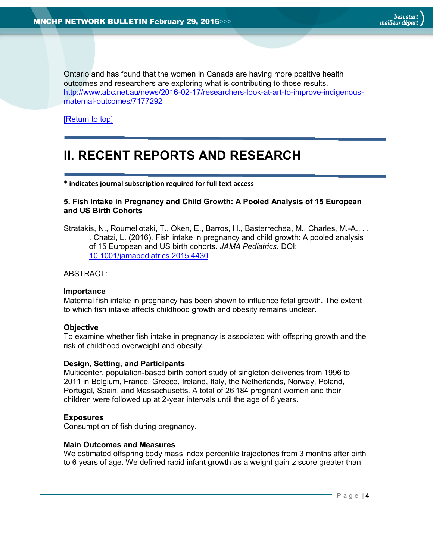Ontario and has found that the women in Canada are having more positive health outcomes and researchers are exploring what is contributing to those results. [http://www.abc.net.au/news/2016-02-17/researchers-look-at-art-to-improve-indigenous](http://www.abc.net.au/news/2016-02-17/researchers-look-at-art-to-improve-indigenous-maternal-outcomes/7177292)[maternal-outcomes/7177292](http://www.abc.net.au/news/2016-02-17/researchers-look-at-art-to-improve-indigenous-maternal-outcomes/7177292)

[\[Return to top\]](#page-0-0)

# <span id="page-3-0"></span>**II. RECENT REPORTS AND RESEARCH**

**\* indicates journal subscription required for full text access**

# <span id="page-3-1"></span>**5. Fish Intake in Pregnancy and Child Growth: A Pooled Analysis of 15 European and US Birth Cohorts**

Stratakis, N., Roumeliotaki, T., Oken, E., Barros, H., Basterrechea, M., Charles, M.-A., . . . Chatzi, L. (2016). Fish intake in pregnancy and child growth: A pooled analysis of 15 European and US birth cohorts**.** *JAMA Pediatrics.* DOI: [10.1001/jamapediatrics.2015.4430](http://dx.doi.org/10.1001/jamapediatrics.2015.4430)

## ABSTRACT:

## **Importance**

Maternal fish intake in pregnancy has been shown to influence fetal growth. The extent to which fish intake affects childhood growth and obesity remains unclear.

#### **Objective**

To examine whether fish intake in pregnancy is associated with offspring growth and the risk of childhood overweight and obesity.

## **Design, Setting, and Participants**

Multicenter, population-based birth cohort study of singleton deliveries from 1996 to 2011 in Belgium, France, Greece, Ireland, Italy, the Netherlands, Norway, Poland, Portugal, Spain, and Massachusetts. A total of 26 184 pregnant women and their children were followed up at 2-year intervals until the age of 6 years.

## **Exposures**

Consumption of fish during pregnancy.

## **Main Outcomes and Measures**

We estimated offspring body mass index percentile trajectories from 3 months after birth to 6 years of age. We defined rapid infant growth as a weight gain *z* score greater than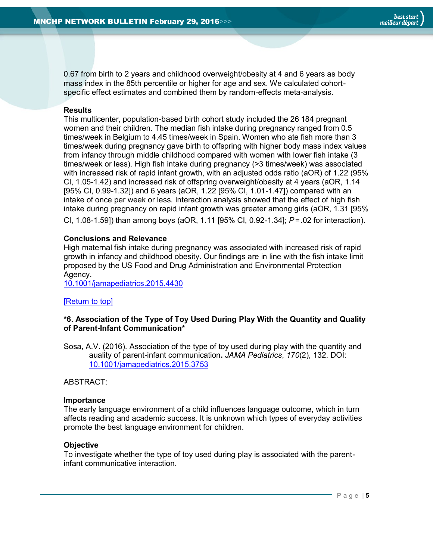

0.67 from birth to 2 years and childhood overweight/obesity at 4 and 6 years as body mass index in the 85th percentile or higher for age and sex. We calculated cohortspecific effect estimates and combined them by random-effects meta-analysis.

# **Results**

This multicenter, population-based birth cohort study included the 26 184 pregnant women and their children. The median fish intake during pregnancy ranged from 0.5 times/week in Belgium to 4.45 times/week in Spain. Women who ate fish more than 3 times/week during pregnancy gave birth to offspring with higher body mass index values from infancy through middle childhood compared with women with lower fish intake (3 times/week or less). High fish intake during pregnancy (>3 times/week) was associated with increased risk of rapid infant growth, with an adjusted odds ratio (aOR) of 1.22 (95% CI, 1.05-1.42) and increased risk of offspring overweight/obesity at 4 years (aOR, 1.14 [95% CI, 0.99-1.32]) and 6 years (aOR, 1.22 [95% CI, 1.01-1.47]) compared with an intake of once per week or less. Interaction analysis showed that the effect of high fish intake during pregnancy on rapid infant growth was greater among girls (aOR, 1.31 [95% CI, 1.08-1.59]) than among boys (aOR, 1.11 [95% CI, 0.92-1.34]; *P*=.02 for interaction).

# **Conclusions and Relevance**

High maternal fish intake during pregnancy was associated with increased risk of rapid growth in infancy and childhood obesity. Our findings are in line with the fish intake limit proposed by the US Food and Drug Administration and Environmental Protection Agency.

[10.1001/jamapediatrics.2015.4430](http://dx.doi.org/10.1001/jamapediatrics.2015.4430)

# [\[Return to top\]](#page-0-0)

# <span id="page-4-0"></span>**\*6. Association of the Type of Toy Used During Play With the Quantity and Quality of Parent-Infant Communication\***

Sosa, A.V. (2016). Association of the type of toy used during play with the quantity and auality of parent-infant communication**.** *JAMA Pediatrics*, *170*(2), 132. DOI: [10.1001/jamapediatrics.2015.3753](http://dx.doi.org/10.1001/jamapediatrics.2015.3753)

ABSTRACT:

#### **Importance**

The early language environment of a child influences language outcome, which in turn affects reading and academic success. It is unknown which types of everyday activities promote the best language environment for children.

## **Objective**

To investigate whether the type of toy used during play is associated with the parentinfant communicative interaction.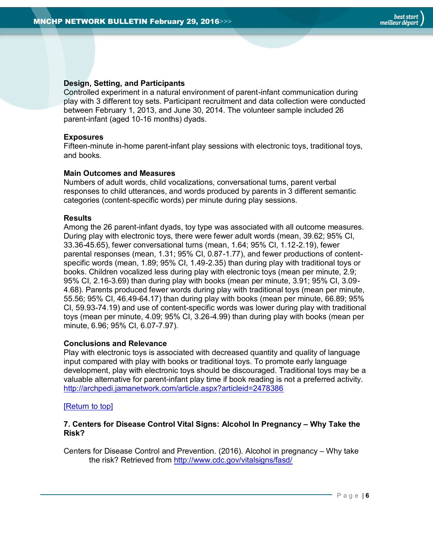# **Design, Setting, and Participants**

Controlled experiment in a natural environment of parent-infant communication during play with 3 different toy sets. Participant recruitment and data collection were conducted between February 1, 2013, and June 30, 2014. The volunteer sample included 26 parent-infant (aged 10-16 months) dyads.

# **Exposures**

Fifteen-minute in-home parent-infant play sessions with electronic toys, traditional toys, and books.

# **Main Outcomes and Measures**

Numbers of adult words, child vocalizations, conversational turns, parent verbal responses to child utterances, and words produced by parents in 3 different semantic categories (content-specific words) per minute during play sessions.

# **Results**

Among the 26 parent-infant dyads, toy type was associated with all outcome measures. During play with electronic toys, there were fewer adult words (mean, 39.62; 95% CI, 33.36-45.65), fewer conversational turns (mean, 1.64; 95% CI, 1.12-2.19), fewer parental responses (mean, 1.31; 95% CI, 0.87-1.77), and fewer productions of contentspecific words (mean, 1.89; 95% CI, 1.49-2.35) than during play with traditional toys or books. Children vocalized less during play with electronic toys (mean per minute, 2.9; 95% CI, 2.16-3.69) than during play with books (mean per minute, 3.91; 95% CI, 3.09- 4.68). Parents produced fewer words during play with traditional toys (mean per minute, 55.56; 95% CI, 46.49-64.17) than during play with books (mean per minute, 66.89; 95% CI, 59.93-74.19) and use of content-specific words was lower during play with traditional toys (mean per minute, 4.09; 95% CI, 3.26-4.99) than during play with books (mean per minute, 6.96; 95% CI, 6.07-7.97).

## **Conclusions and Relevance**

Play with electronic toys is associated with decreased quantity and quality of language input compared with play with books or traditional toys. To promote early language development, play with electronic toys should be discouraged. Traditional toys may be a valuable alternative for parent-infant play time if book reading is not a preferred activity. <http://archpedi.jamanetwork.com/article.aspx?articleid=2478386>

## [\[Return to top\]](#page-0-0)

# <span id="page-5-0"></span>**7. Centers for Disease Control Vital Signs: Alcohol In Pregnancy – Why Take the Risk?**

Centers for Disease Control and Prevention. (2016). Alcohol in pregnancy – Why take the risk? Retrieved from <http://www.cdc.gov/vitalsigns/fasd/>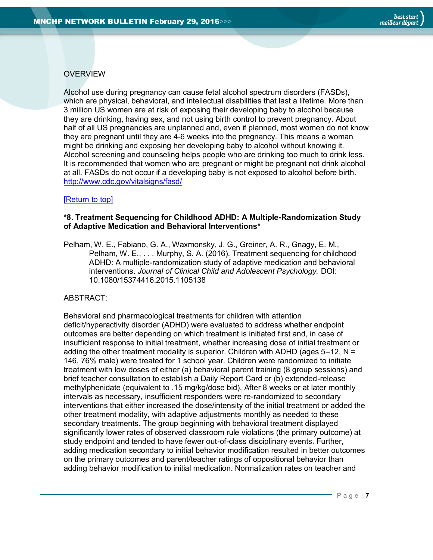# **OVERVIEW**

Alcohol use during pregnancy can cause fetal alcohol spectrum disorders (FASDs), which are physical, behavioral, and intellectual disabilities that last a lifetime. More than 3 million US women are at risk of exposing their developing baby to alcohol because they are drinking, having sex, and not using birth control to prevent pregnancy. About half of all US pregnancies are unplanned and, even if planned, most women do not know they are pregnant until they are 4-6 weeks into the pregnancy. This means a woman might be drinking and exposing her developing baby to alcohol without knowing it. Alcohol screening and counseling helps people who are drinking too much to drink less. It is recommended that women who are pregnant or might be pregnant not drink alcohol at all. FASDs do not occur if a developing baby is not exposed to alcohol before birth. <http://www.cdc.gov/vitalsigns/fasd/>

# [\[Return to top\]](#page-0-0)

# <span id="page-6-0"></span>**\*8. Treatment Sequencing for Childhood ADHD: A Multiple-Randomization Study of Adaptive Medication and Behavioral Interventions\***

Pelham, W. E., Fabiano, G. A., Waxmonsky, J. G., Greiner, A. R., Gnagy, E. M., Pelham, W. E., . . . Murphy, S. A. (2016). Treatment sequencing for childhood ADHD: A multiple-randomization study of adaptive medication and behavioral interventions. *Journal of Clinical Child and Adolescent Psychology.* DOI: 10.1080/15374416.2015.1105138

# ABSTRACT:

Behavioral and pharmacological treatments for children with attention deficit/hyperactivity disorder (ADHD) were evaluated to address whether endpoint outcomes are better depending on which treatment is initiated first and, in case of insufficient response to initial treatment, whether increasing dose of initial treatment or adding the other treatment modality is superior. Children with ADHD (ages  $5-12$ , N = 146, 76% male) were treated for 1 school year. Children were randomized to initiate treatment with low doses of either (a) behavioral parent training (8 group sessions) and brief teacher consultation to establish a Daily Report Card or (b) extended-release methylphenidate (equivalent to .15 mg/kg/dose bid). After 8 weeks or at later monthly intervals as necessary, insufficient responders were re-randomized to secondary interventions that either increased the dose/intensity of the initial treatment or added the other treatment modality, with adaptive adjustments monthly as needed to these secondary treatments. The group beginning with behavioral treatment displayed significantly lower rates of observed classroom rule violations (the primary outcome) at study endpoint and tended to have fewer out-of-class disciplinary events. Further, adding medication secondary to initial behavior modification resulted in better outcomes on the primary outcomes and parent/teacher ratings of oppositional behavior than adding behavior modification to initial medication. Normalization rates on teacher and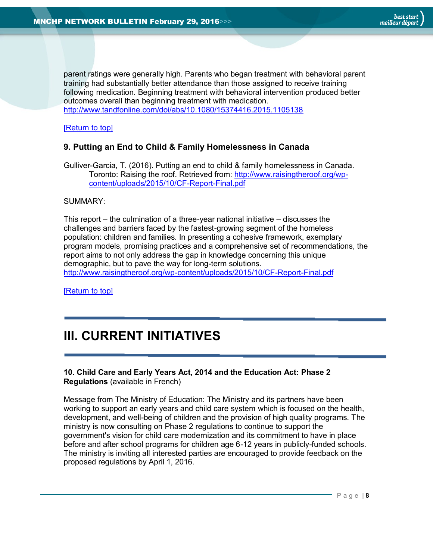parent ratings were generally high. Parents who began treatment with behavioral parent training had substantially better attendance than those assigned to receive training following medication. Beginning treatment with behavioral intervention produced better outcomes overall than beginning treatment with medication. <http://www.tandfonline.com/doi/abs/10.1080/15374416.2015.1105138>

[\[Return to top\]](#page-0-0)

# <span id="page-7-0"></span>**9. Putting an End to Child & Family Homelessness in Canada**

Gulliver-Garcia, T. (2016). Putting an end to child & family homelessness in Canada. Toronto: Raising the roof. Retrieved from: [http://www.raisingtheroof.org/wp](http://www.raisingtheroof.org/wp-content/uploads/2015/10/CF-Report-Final.pdf)[content/uploads/2015/10/CF-Report-Final.pdf](http://www.raisingtheroof.org/wp-content/uploads/2015/10/CF-Report-Final.pdf)

## SUMMARY:

This report – the culmination of a three-year national initiative – discusses the challenges and barriers faced by the fastest-growing segment of the homeless population: children and families. In presenting a cohesive framework, exemplary program models, promising practices and a comprehensive set of recommendations, the report aims to not only address the gap in knowledge concerning this unique demographic, but to pave the way for long-term solutions. <http://www.raisingtheroof.org/wp-content/uploads/2015/10/CF-Report-Final.pdf>

[\[Return to top\]](#page-0-0)

# <span id="page-7-1"></span>**III. CURRENT INITIATIVES**

# <span id="page-7-2"></span>**10. Child Care and Early Years Act, 2014 and the Education Act: Phase 2 Regulations** (available in French)

Message from The Ministry of Education: The Ministry and its partners have been working to support an early years and child care system which is focused on the health, development, and well-being of children and the provision of high quality programs. The ministry is now consulting on Phase 2 regulations to continue to support the government's vision for child care modernization and its commitment to have in place before and after school programs for children age 6-12 years in publicly-funded schools. The ministry is inviting all interested parties are encouraged to provide feedback on the proposed regulations by April 1, 2016.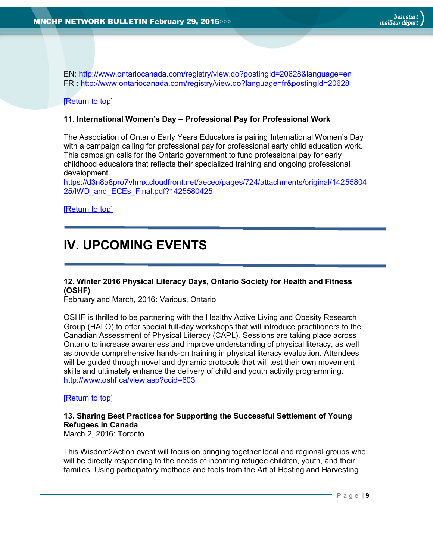EN:<http://www.ontariocanada.com/registry/view.do?postingId=20628&language=en> FR :<http://www.ontariocanada.com/registry/view.do?language=fr&postingId=20628>

# [\[Return to top\]](#page-0-0)

# <span id="page-8-0"></span>**11. International Women's Day – Professional Pay for Professional Work**

The Association of Ontario Early Years Educators is pairing International Women's Day with a campaign calling for professional pay for professional early child education work. This campaign calls for the Ontario government to fund professional pay for early childhood educators that reflects their specialized training and ongoing professional development.

[https://d3n8a8pro7vhmx.cloudfront.net/aeceo/pages/724/attachments/original/14255804](https://d3n8a8pro7vhmx.cloudfront.net/aeceo/pages/724/attachments/original/1425580425/IWD_and_ECEs_Final.pdf?1425580425) [25/IWD\\_and\\_ECEs\\_Final.pdf?1425580425](https://d3n8a8pro7vhmx.cloudfront.net/aeceo/pages/724/attachments/original/1425580425/IWD_and_ECEs_Final.pdf?1425580425)

<span id="page-8-1"></span>[\[Return to top\]](#page-0-0)

# **IV. UPCOMING EVENTS**

# <span id="page-8-2"></span>**12. Winter 2016 Physical Literacy Days, Ontario Society for Health and Fitness (OSHF)**

February and March, 2016: Various, Ontario

OSHF is thrilled to be partnering with the Healthy Active Living and Obesity Research Group (HALO) to offer special full-day workshops that will introduce practitioners to the Canadian Assessment of Physical Literacy (CAPL). Sessions are taking place across Ontario to increase awareness and improve understanding of physical literacy, as well as provide comprehensive hands-on training in physical literacy evaluation. Attendees will be guided through novel and dynamic protocols that will test their own movement skills and ultimately enhance the delivery of child and youth activity programming. <http://www.oshf.ca/view.asp?ccid=603>

## [\[Return to top\]](#page-0-0)

# <span id="page-8-3"></span>**13. Sharing Best Practices for Supporting the Successful Settlement of Young Refugees in Canada**

March 2, 2016: Toronto

This Wisdom2Action event will focus on bringing together local and regional groups who will be directly responding to the needs of incoming refugee children, youth, and their families. Using participatory methods and tools from the Art of Hosting and Harvesting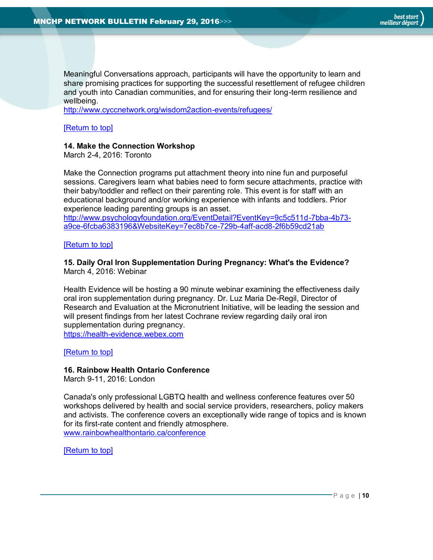

Meaningful Conversations approach, participants will have the opportunity to learn and share promising practices for supporting the successful resettlement of refugee children and youth into Canadian communities, and for ensuring their long-term resilience and wellbeing.

<http://www.cyccnetwork.org/wisdom2action-events/refugees/>

[\[Return to top\]](#page-0-0)

## <span id="page-9-0"></span>**14. Make the Connection Workshop**

March 2-4, 2016: Toronto

Make the Connection programs put attachment theory into nine fun and purposeful sessions. Caregivers learn what babies need to form secure attachments, practice with their baby/toddler and reflect on their parenting role. This event is for staff with an educational background and/or working experience with infants and toddlers. Prior experience leading parenting groups is an asset. [http://www.psychologyfoundation.org/EventDetail?EventKey=9c5c511d-7bba-4b73](http://www.psychologyfoundation.org/EventDetail?EventKey=9c5c511d-7bba-4b73-a9ce-6fcba6383196&WebsiteKey=7ec8b7ce-729b-4aff-acd8-2f6b59cd21ab) [a9ce-6fcba6383196&WebsiteKey=7ec8b7ce-729b-4aff-acd8-2f6b59cd21ab](http://www.psychologyfoundation.org/EventDetail?EventKey=9c5c511d-7bba-4b73-a9ce-6fcba6383196&WebsiteKey=7ec8b7ce-729b-4aff-acd8-2f6b59cd21ab)

[\[Return to top\]](#page-0-0)

# <span id="page-9-1"></span>**15. Daily Oral Iron Supplementation During Pregnancy: What's the Evidence?**  March 4, 2016: Webinar

Health Evidence will be hosting a 90 minute webinar examining the effectiveness daily oral iron supplementation during pregnancy. Dr. Luz Maria De-Regil, Director of Research and Evaluation at the Micronutrient Initiative, will be leading the session and will present findings from her latest Cochrane review regarding daily oral iron supplementation during pregnancy. [https://health-evidence.webex.com](https://health-evidence.webex.com/mw3000/mywebex/default.do?nomenu=true&siteurl=health-evidence&service=6&rnd=0.7854723890720291&main_url=https%3A%2F%2Fhealth-evidence.webex.com%2Fec3000%2Feventcenter%2Fevent%2FeventAction.do%3FtheAction%3Ddetail%26confViewID%3D1754950111%26%26EMK%3D4832534b000000022a9fd422bfdc5149dfd1137fcb1f44fb0a3e4d5a7d40b3b1a6745971ca68d5dc%26%26encryptTicket%3DSDJTSwAAAAKxKi3ezIlVPJ3PgwHteGojciPWrn4j2wvVlFHsovZp9Q2%26%26siteurl%3Dhealth-evidence)

[\[Return to top\]](#page-0-0)

## <span id="page-9-2"></span>**16. Rainbow Health Ontario Conference**

March 9-11, 2016: London

Canada's only professional LGBTQ health and wellness conference features over 50 workshops delivered by health and social service providers, researchers, policy makers and activists. The conference covers an exceptionally wide range of topics and is known for its first-rate content and friendly atmosphere. [www.rainbowhealthontario.ca/conference](http://www.rainbowhealthontario.ca/conference)

[\[Return to top\]](#page-0-0)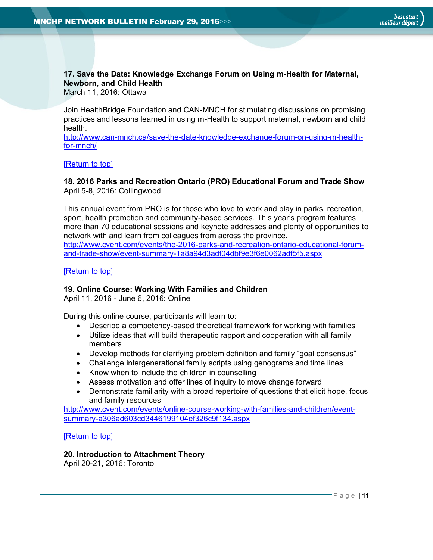# <span id="page-10-0"></span>**17. Save the Date: Knowledge Exchange Forum on Using m-Health for Maternal, Newborn, and Child Health**

March 11, 2016: Ottawa

Join HealthBridge Foundation and CAN-MNCH for stimulating discussions on promising practices and lessons learned in using m-Health to support maternal, newborn and child health.

[http://www.can-mnch.ca/save-the-date-knowledge-exchange-forum-on-using-m-health](http://www.can-mnch.ca/save-the-date-knowledge-exchange-forum-on-using-m-health-for-mnch/)[for-mnch/](http://www.can-mnch.ca/save-the-date-knowledge-exchange-forum-on-using-m-health-for-mnch/)

## [\[Return to top\]](#page-0-0)

# <span id="page-10-1"></span>**18. 2016 Parks and Recreation Ontario (PRO) Educational Forum and Trade Show** April 5-8, 2016: Collingwood

This annual event from PRO is for those who love to work and play in parks, recreation, sport, health promotion and community-based services. This year's program features more than 70 educational sessions and keynote addresses and plenty of opportunities to network with and learn from colleagues from across the province. [http://www.cvent.com/events/the-2016-parks-and-recreation-ontario-educational-forum](http://www.cvent.com/events/the-2016-parks-and-recreation-ontario-educational-forum-and-trade-show/event-summary-1a8a94d3adf04dbf9e3f6e0062adf5f5.aspx)[and-trade-show/event-summary-1a8a94d3adf04dbf9e3f6e0062adf5f5.aspx](http://www.cvent.com/events/the-2016-parks-and-recreation-ontario-educational-forum-and-trade-show/event-summary-1a8a94d3adf04dbf9e3f6e0062adf5f5.aspx)

[\[Return to top\]](#page-0-0)

# <span id="page-10-2"></span>**19. Online Course: Working With Families and Children**

April 11, 2016 - June 6, 2016: Online

During this online course, participants will learn to:

- Describe a competency-based theoretical framework for working with families
- Utilize ideas that will build therapeutic rapport and cooperation with all family members
- Develop methods for clarifying problem definition and family "goal consensus"
- Challenge intergenerational family scripts using genograms and time lines
- Know when to include the children in counselling
- Assess motivation and offer lines of inquiry to move change forward
- Demonstrate familiarity with a broad repertoire of questions that elicit hope, focus and family resources

[http://www.cvent.com/events/online-course-working-with-families-and-children/event](http://www.cvent.com/events/online-course-working-with-families-and-children/event-summary-a306ad603cd3446199104ef326c9f134.aspx)[summary-a306ad603cd3446199104ef326c9f134.aspx](http://www.cvent.com/events/online-course-working-with-families-and-children/event-summary-a306ad603cd3446199104ef326c9f134.aspx)

[\[Return to top\]](#page-0-0)

# <span id="page-10-3"></span>**20. Introduction to Attachment Theory**

April 20-21, 2016: Toronto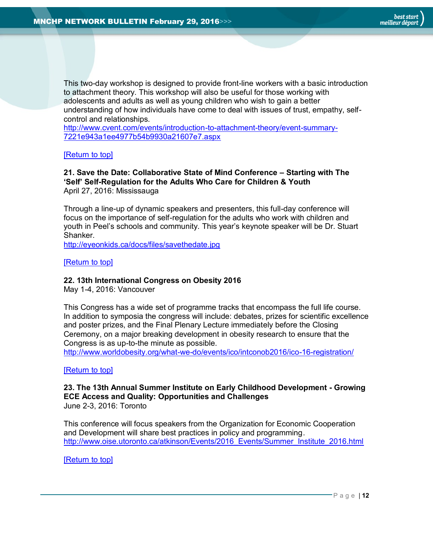

This two-day workshop is designed to provide front-line workers with a basic introduction to attachment theory. This workshop will also be useful for those working with adolescents and adults as well as young children who wish to gain a better understanding of how individuals have come to deal with issues of trust, empathy, selfcontrol and relationships.

[http://www.cvent.com/events/introduction-to-attachment-theory/event-summary-](http://www.cvent.com/events/introduction-to-attachment-theory/event-summary-7221e943a1ee4977b54b9930a21607e7.aspx)[7221e943a1ee4977b54b9930a21607e7.aspx](http://www.cvent.com/events/introduction-to-attachment-theory/event-summary-7221e943a1ee4977b54b9930a21607e7.aspx)

#### [\[Return to top\]](#page-0-0)

#### <span id="page-11-0"></span>**21. Save the Date: Collaborative State of Mind Conference – Starting with The 'Self' Self-Regulation for the Adults Who Care for Children & Youth** April 27, 2016: Mississauga

Through a line-up of dynamic speakers and presenters, this full-day conference will focus on the importance of self-regulation for the adults who work with children and youth in Peel's schools and community. This year's keynote speaker will be Dr. Stuart Shanker.

<http://eyeonkids.ca/docs/files/savethedate.jpg>

[\[Return to top\]](#page-0-0)

#### <span id="page-11-1"></span>**22. 13th International Congress on Obesity 2016**

May 1-4, 2016: Vancouver

This Congress has a wide set of programme tracks that encompass the full life course. In addition to symposia the congress will include: debates, prizes for scientific excellence and poster prizes, and the Final Plenary Lecture immediately before the Closing Ceremony, on a major breaking development in obesity research to ensure that the Congress is as up-to-the minute as possible.

<http://www.worldobesity.org/what-we-do/events/ico/intconob2016/ico-16-registration/>

## [\[Return to top\]](#page-0-0)

#### <span id="page-11-2"></span>**23. The 13th Annual Summer Institute on Early Childhood Development - Growing ECE Access and Quality: Opportunities and Challenges** June 2-3, 2016: Toronto

This conference will focus speakers from the Organization for Economic Cooperation and Development will share best practices in policy and programming. [http://www.oise.utoronto.ca/atkinson/Events/2016\\_Events/Summer\\_Institute\\_2016.html](http://www.oise.utoronto.ca/atkinson/Events/2016_Events/Summer_Institute_2016.html)

[\[Return to top\]](#page-0-0)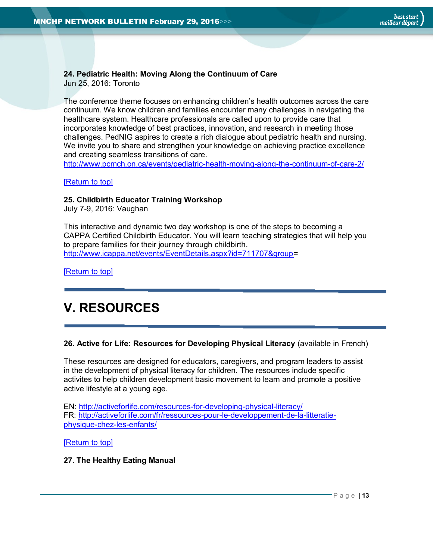# <span id="page-12-0"></span>**24. Pediatric Health: Moving Along the Continuum of Care**

Jun 25, 2016: Toronto

The conference theme focuses on enhancing children's health outcomes across the care continuum. We know children and families encounter many challenges in navigating the healthcare system. Healthcare professionals are called upon to provide care that incorporates knowledge of best practices, innovation, and research in meeting those challenges. PedNIG aspires to create a rich dialogue about pediatric health and nursing. We invite you to share and strengthen your knowledge on achieving practice excellence and creating seamless transitions of care.

<http://www.pcmch.on.ca/events/pediatric-health-moving-along-the-continuum-of-care-2/>

# [\[Return to top\]](#page-0-0)

# <span id="page-12-1"></span>**25. Childbirth Educator Training Workshop**

July 7-9, 2016: Vaughan

This interactive and dynamic two day workshop is one of the steps to becoming a CAPPA Certified Childbirth Educator. You will learn teaching strategies that will help you to prepare families for their journey through childbirth. [http://www.icappa.net/events/EventDetails.aspx?id=711707&group=](http://www.icappa.net/events/EventDetails.aspx?id=711707&group)

[\[Return to top\]](#page-0-0)

# <span id="page-12-2"></span>**V. RESOURCES**

# <span id="page-12-3"></span>**26. Active for Life: Resources for Developing Physical Literacy** (available in French)

These resources are designed for educators, caregivers, and program leaders to assist in the development of physical literacy for children. The resources include specific activites to help children development basic movement to learn and promote a positive active lifestyle at a young age.

EN: <http://activeforlife.com/resources-for-developing-physical-literacy/> FR: [http://activeforlife.com/fr/ressources-pour-le-developpement-de-la-litteratie](http://activeforlife.com/fr/ressources-pour-le-developpement-de-la-litteratie-physique-chez-les-enfants/)[physique-chez-les-enfants/](http://activeforlife.com/fr/ressources-pour-le-developpement-de-la-litteratie-physique-chez-les-enfants/)

[\[Return to top\]](#page-0-0)

# <span id="page-12-4"></span>**27. The Healthy Eating Manual**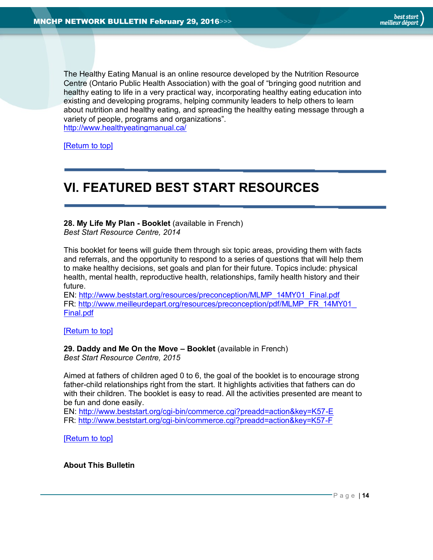The Healthy Eating Manual is an online resource developed by the Nutrition Resource Centre (Ontario Public Health Association) with the goal of "bringing good nutrition and healthy eating to life in a very practical way, incorporating healthy eating education into existing and developing programs, helping community leaders to help others to learn about nutrition and healthy eating, and spreading the healthy eating message through a variety of people, programs and organizations". <http://www.healthyeatingmanual.ca/>

[\[Return to top\]](#page-0-0)

# <span id="page-13-1"></span>**VI. FEATURED BEST START RESOURCES**

<span id="page-13-2"></span>**28. My Life My Plan - Booklet** (available in French) *Best Start Resource Centre, 2014*

This booklet for teens will guide them through six topic areas, providing them with facts and referrals, and the opportunity to respond to a series of questions that will help them to make healthy decisions, set goals and plan for their future. Topics include: physical health, mental health, reproductive health, relationships, family health history and their future.

EN: [http://www.beststart.org/resources/preconception/MLMP\\_14MY01\\_Final.pdf](http://www.beststart.org/resources/preconception/MLMP_14MY01_Final.pdf) FR: [http://www.meilleurdepart.org/resources/preconception/pdf/MLMP\\_FR\\_14MY01\\_](http://www.meilleurdepart.org/resources/preconception/pdf/MLMP_FR_14MY01_Final.pdf) [Final.pdf](http://www.meilleurdepart.org/resources/preconception/pdf/MLMP_FR_14MY01_Final.pdf)

[\[Return to top\]](#page-0-0)

# <span id="page-13-3"></span>**29. Daddy and Me On the Move – Booklet** (available in French)

*Best Start Resource Centre, 2015*

Aimed at fathers of children aged 0 to 6, the goal of the booklet is to encourage strong father-child relationships right from the start. It highlights activities that fathers can do with their children. The booklet is easy to read. All the activities presented are meant to be fun and done easily.

EN:<http://www.beststart.org/cgi-bin/commerce.cgi?preadd=action&key=K57-E> FR:<http://www.beststart.org/cgi-bin/commerce.cgi?preadd=action&key=K57-F>

[\[Return to top\]](#page-0-0)

<span id="page-13-0"></span>**About This Bulletin**

best start meilleur départ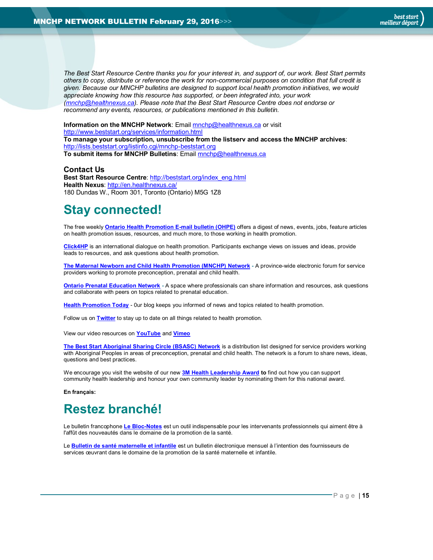*The Best Start Resource Centre thanks you for your interest in, and support of, our work. Best Start permits others to copy, distribute or reference the work for non-commercial purposes on condition that full credit is given. Because our MNCHP bulletins are designed to support local health promotion initiatives, we would appreciate knowing how this resource has supported, or been integrated into, your work [\(mnchp@healthnexus.ca\)](mailto:mnchp@healthnexus.ca). Please note that the Best Start Resource Centre does not endorse or recommend any events, resources, or publications mentioned in this bulletin.* 

**Information on the MNCHP Network:** Email **mnchp@healthnexus.ca** or visit <http://www.beststart.org/services/information.html> **To manage your subscription, unsubscribe from the listserv and access the MNCHP archives**: <http://lists.beststart.org/listinfo.cgi/mnchp-beststart.org> **To submit items for MNCHP Bulletins**: Emai[l mnchp@healthnexus.ca](mailto:mnchp@healthnexus.ca)

**Contact Us**

**Best Start Resource Centre**: [http://beststart.org/index\\_eng.html](http://beststart.org/index_eng.html) **Health Nexus**:<http://en.healthnexus.ca/> 180 Dundas W., Room 301, Toronto (Ontario) M5G 1Z8

# **Stay connected!**

The free weekly **[Ontario Health Promotion E-mail bulletin \(OHPE\)](http://www.ohpe.ca/)** offers a digest of news, events, jobs, feature articles on health promotion issues, resources, and much more, to those working in health promotion.

**[Click4HP](https://listserv.yorku.ca/archives/click4hp.html)** is an international dialogue on health promotion. Participants exchange views on issues and ideas, provide leads to resources, and ask questions about health promotion.

**[The Maternal Newborn and Child Health Promotion \(MNCHP\)](http://www.beststart.org/services/MNCHP.html) Network -** A province-wide electronic forum for service providers working to promote preconception, prenatal and child health.

**[Ontario Prenatal Education Network](http://fluidsurveys.com/surveys/ohpe/subscriptionsopen2015-2016/) -** A space where professionals can share information and resources, ask questions and collaborate with peers on topics related to prenatal education.

**[Health Promotion Today](http://en.healthnexus.ca/)** - 0ur blog keeps you informed of news and topics related to health promotion.

Follow us on **[Twitter](https://twitter.com/Health_Nexus)** to stay up to date on all things related to health promotion.

View our video resources on **[YouTube](http://www.youtube.com/user/healthnexussante)** and **[Vimeo](https://vimeo.com/user9493317)**

**[The Best Start Aboriginal Sharing Circle \(BSASC\) Network](http://lists.beststart.org/listinfo.cgi/bsasc-beststart.org)** is a distribution list designed for service providers working with Aboriginal Peoples in areas of preconception, prenatal and child health. The network is a forum to share news, ideas, questions and best practices.

We encourage you visit the website of our new **[3M Health Leadership Award](http://www.healthnexus.ca/leadershipaward) to** find out how you can support community health leadership and honour your own community leader by nominating them for this national award.

**En français:**

# **Restez branché!**

Le bulletin francophone **[Le Bloc-Notes](http://www.leblocnotes.ca/)** est un outil indispensable pour les intervenants professionnels qui aiment être à l'affût des nouveautés dans le domaine de la promotion de la santé.

Le **[Bulletin de santé maternelle et infantile](http://www.meilleurdepart.org/services/bulletins.html)** est un bulletin électronique mensuel à l'intention des fournisseurs de services œuvrant dans le domaine de la promotion de la santé maternelle et infantile.